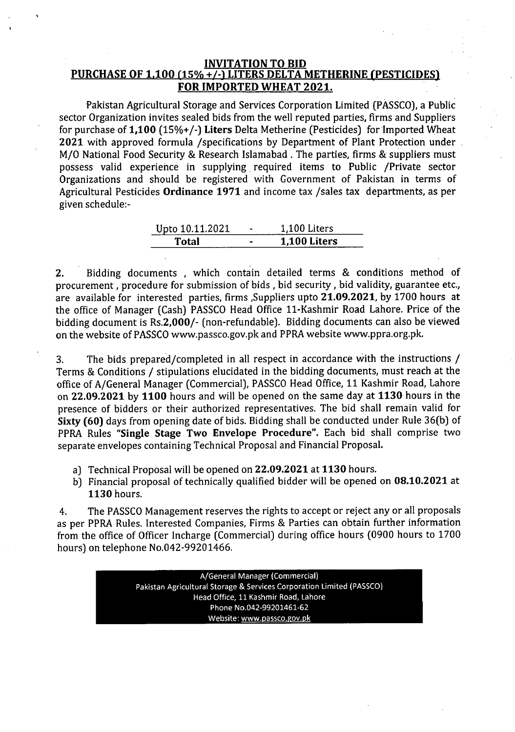#### INVITATION TO BID PURCHASE OF 1,100 (15% +/-) LITERS DELTA METHERINE (PESTICIDES) FOR IMPORTED WHEAT 2021.

Pakistan Agricultural Storage and Services Corporation Limited (PASSCO), a Public sector Organization invites sealed bids from the well reputed parties, firms and Suppliers for purchase of 1,100 (15%+/-) Liters Delta Metherine (Pesticides) for Imported Wheat 2021 with approved formula /specifications by Department of Plant Protection under. M/O National Food Security & Research Islamabad. The parties, firms & suppliers must possess valid experience in supplying. required items to Public /Private *sector* Organizations and should be registered with Government of Pakistan in terms of Agricultural Pesticides Ordinance 1971 and income tax /sales tax departments, as per given schedule:-

| Upto 10.11.2021 | 1,100 Liters        |
|-----------------|---------------------|
| Total           | <b>1,100 Liters</b> |

2, Bidding documents , which contain detailed terms & conditions method of procurement, procedure for submission of bids, bid security, bid validity, guarantee etc., are available for interested parties, firms ,Suppliers upto 21,09,2021, by 1700 hours at the office of Manager (Cash) PASSCO Head Office 11-Kashmir Road Lahore. Price of the bidding document is Rs.2,000/- (non-refundable). Bidding documents can also be viewed on the website of PASSCO www.passco.gov.pk and PPRA website [www.ppra.org.pk.](http://www.ppra.org.pk.)

3. The bids prepared/completed in all respect in accordance with the instructions / Terms & Conditions / stipulations elucidated in the bidding documents, must reach at the office of A/General Manager (Commercial), PASSCO Head Office, 11 Kashmir Road, Lahore on 22.09.2021 by 1100 hours and will be opened on the same day at 1130 hours in the presence of bidders or their authorized representatives. The bid shall remain valid for Sixty (60) days from opening date of bids. Bidding shall be conducted under Rule 36(b) of PPRA Rules "Single Stage Two Envelope Procedure", Each bid shall comprise two separate envelopes containing Technical Proposal and Financial Proposal,

- a) Technical Proposal will be opened on 22,09,2021 at 1130 hours.
- b) Financial proposal of technically qualified bidder will be opened on 08.10,2021 at 1130 hours.

4. The PASSCO Management reserves the rights to accept or reject any or all proposals as per PPRA Rules. Interested Companies, Firms & Parties can obtain further information from the office of Officer Incharge (Commercial) during office hours (0900 hours to 1700 hours) on telephone NO.042-99201466.

> A/General Manager (Commercial) Pakistan Agricultural Storage & Services Corporation Limited (PASSCO) Head Office, 11 Kashmir Road. Lahore Phone NO.042-99201461.62 Website: www.passco.gov.pk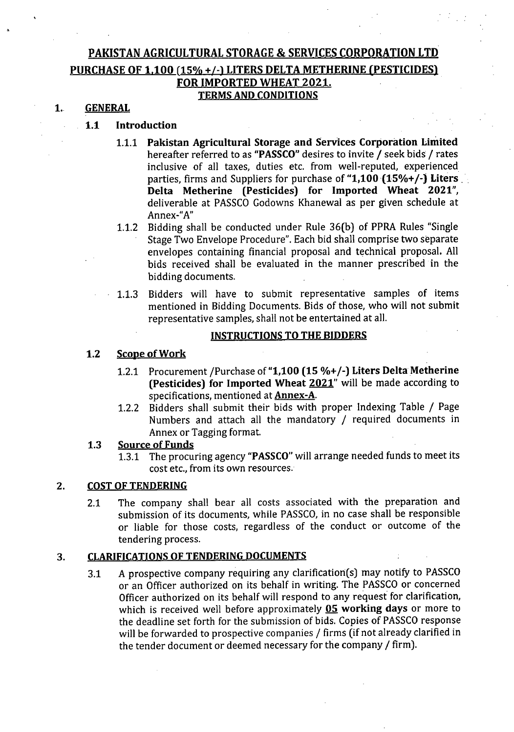# PAKISTAN AGRICULTURAL STORAGE & SERVICES CORPORATION LTD PURCHASE OF 1,100 (15% +/-) LITERS DELTA METHERINE (PESTICIDES) FOR IMPORTED WHEAT 2021, **TERMS AND CONDITIONS**

# 1, GENERAL

## 1,1 Introduction

- 1.1.1 Pakistan Agricultural Storage and Services Corporation Limited hereafter referred to as "PASSCO" desires to invite / seek bids / rates inclusive of all taxes, duties etc. from well-reputed, experienced parties, firms and Suppliers for purchase of "1,100  $(15\% +/-)$  Liters. Delta Metherine (Pesticides) for Imported Wheat 2021", deliverable at PASSCO Godowns Khanewal as per given schedule at Annex-"A"
- 1.1.2 Bidding shall be conducted under Rule 36(b) of PPRA Rules "Single Stage Two Envelope Procedure". Each bid shall comprise two separate envelopes containing financial proposal and technical proposal. All bids received shall be evaluated in the manner prescribed in the bidding documents.
- 1.1.3 Bidders will have to submit representative samples of items mentioned in Bidding Documents. Bids of those, who will not submit representative samples, shall not be entertained at all.

### INSTRUCTIONSTO THE BIDDERS

#### 1.2 Scope of Work

- 1.2.1 Procurement /Purchase of"1,100 (15 %+/-) Liters Delta Metherine (Pesticides) for Imported Wheat  $2021$ " will be made according to specifications, mentioned at Annex-A.
- 1.2.2 Bidders shall submit their bids with proper Indexing Table / Page Numbers and attach all the mandatory / required documents in Annex or Tagging format.

#### 1.3 Source of Funds

1.3.1 The procuring agency "PASSCO" will arrange needed funds to meet its cost etc., from its own resources.

#### 2. COST OF TENDERING

2.1 The company shall bear all costs associated with the preparation and submission of its documents, while PASSCO, in no case shall be responsible or liable for those costs, regardless of the conduct or outcome of the tendering process.

#### 3. CLARIFICATIONS OF TENDERING DOCUMENTS

3.1 A prospective company requiring any clarification(s) may notify to PASSCO or an Officer authorized on its behalf in writing. The PASSCO or concerned Officer authorized on its behalf will respond to any request for clarification, which is received well before approximately  $05$  working days or more to the deadline set forth for the submission of bids. Copies of PASSCO response will be forwarded to prospective companies / firms (if not already clarified in the tender document or deemed necessary for the company / firm).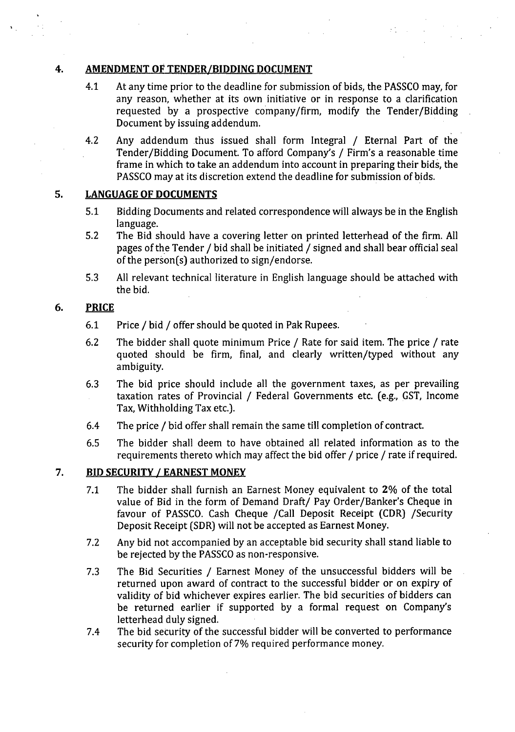### 4. **AMENDMENT OF TENDER/BIDDING DOCUMENT**

4.1 At any time prior to the deadline for submission of bids, the PASSCO may, for any reason, whether at its own initiative or in response to a clarification requested by a prospective company/firm, modify the Tender/Bidding Document by issuing addendum.

 $\mathcal{L}^{\text{max}}_{\text{max}}$ 

4.2 Any addendum thus issued shall form Integral / Eternal Part of the Tender/Bidding Document. To afford Company's / Firm's a reasonable time frame in which to take an addendum into account in preparing their bids, the PASSCOmay at its discretion extend the deadline for submission of bids.

# 5. **LANGUAGE OF DOCUMENTS**

- 5.1 Bidding Documents and related correspondence will always be in the English language.
- 5.2 The Bid should have a covering letter on printed letterhead of the firm. All pages of the Tender / bid shall be initiated / signed and shall bear official seal of the person(s) authorized to sign/endorse.
- 5.3 All relevant technical literature in English language should be attached with the bid.

#### **PRICE** 6.

- 6.1 Price / bid / offer should be quoted in Pak Rupees.
- 6.2 The bidder shall quote minimum Price / Rate for said item. The price / rate quoted should be firm, final, and clearly written/typed without any ambiguity.
- 6.3 The bid price should include all the government taxes, as per prevailing taxation rates of Provincial / Federal Governments etc. (e.g., GST, Income Tax, Withholding Tax etc.).
- 6.4 The price / bid offer shall remain the same till completion of contract.
- 6.5 The bidder shall deem to have obtained all related information as to the requirements thereto which may affect the bid offer / price / rate if required.

#### **7. BID SECURITY / EARNEST MONEY**

- 7.1 The bidder shall furnish an Earnest Money equivalent to 2% of the total value of Bid in the form of Demand Draft/ Pay Order/Banker's Cheque in favour of PASSCO. Cash Cheque /Call Deposit Receipt (CDR) /Security Deposit Receipt (SDR) will not be accepted as Earnest Money.
- 7.2 Any bid not accompanied by an acceptable bid security shall stand liable to be rejected by the PASSCO as non-responsive.
- 7.3 The Bid Securities / Earnest Money of the unsuccessful bidders will be returned upon award of contract to the successful bidder or on expiry of validity of bid whichever expires earlier. The bid securities of bidders can be returned earlier if supported by a formal request on Company's letterhead duly signed.
- 7.4 The bid security of the successful bidder will be converted to performance security for completion of 7% required performance money.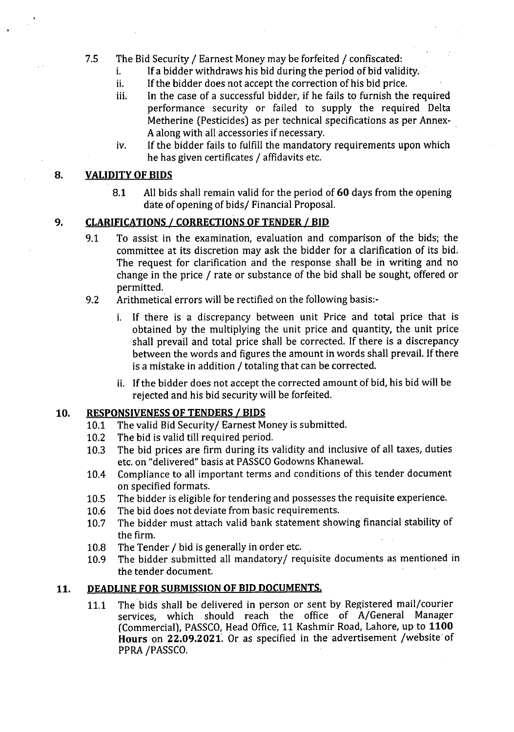# 7.5 The Bid Security / Earnest Money may be forfeited / confiscated:

- i. If a bidder withdraws his bid during the period of bid validity.
- ii. Ifthe bidder does not accept the correction of his bid price.
- iii. In the case of a successful bidder, if he fails to furnish the required performance security or failed to supply the required Delta Metherine (Pesticides) as per technical specifications as per Annex-Aalong with all accessories if necessary. .
- iv. If the bidder fails to fulfill the mandatory requirements upon which he has given certificates / affidavits etc.

### **8. VALIDITY OF BIDS**

8.1 Allbids shall remain valid for the period of **60** days from the opening date of opening of bids/ Financial Proposal.

# **9. CLARIFICATIONS** *I* **CORRECTIONS OF TENDER** *I* **BID**

- 9.1 To assist in the examination, evaluation and comparison of the bids; the committee at its discretion may ask the bidder for a clarification of its bid. The request for clarification and the response shall be in writing and no change in the price / rate or substance of the bid shall be sought, offered or permitted.
- 9.2 Arithmetical errors will be rectified on the following basis:
	- i. If there is a discrepancy between unit Price and total price that is obtained by the multiplying the unit price and quantity, the unit price shall prevail and total price shall be corrected. If there is a discrepancy between the words and figures the amount in words shall prevail. If there is a mistake in addition / totaling that can be corrected.
	- ii. Ifthe bidder does not accept the corrected amount of bid, his bid will be rejected and his bid security will be forfeited.

#### **10. RESPONSIVENESS OF TENDERS** *I* **BIDS**

- 10.1 The valid Bid Security/ Earnest Money is submitted.
- 10.2 The bid is valid till required period.
- 10.3 The bid prices are firm during its validity and inclusive of all taxes, duties etc. on "delivered" basis at PASSCO Godowns Khanewal.
- 10.4 Compliance to all important terms and conditions of this tender document on specified formats.
- 10.5 The bidder is eligible for tendering and possesses the requisite experience.
- 10.6 The bid does not deviate from basic requirements.
- 10.7 The bidder must attach valid bank statement showing financial stability of the firm.
- 10.8 The Tender / bid is generally in order etc.
- 10.9 The bidder submitted all mandatory/requisite documents as mentioned in the tender document.

# **11. DEADLINE FOR SUBMISSION OF BID DOCUMENTS.**

11.1 The bids shall be delivered in person or sent by Registered mail/courier services, which should reach the office of A/General Manager (Commercia!), PASSCO,Head Office,11 Kashmir Road, Lahore, up to **1100 Hours on 22.09.2021.** Or as specified in the advertisement /website of PPRA/PASSCO.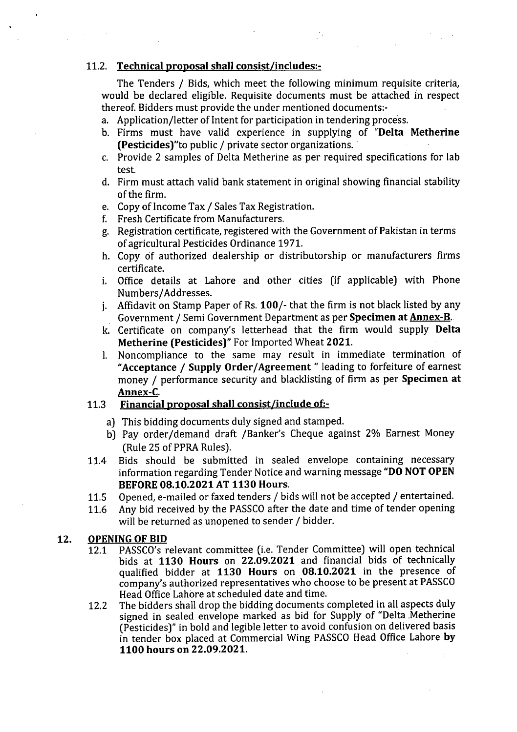# 11.2. Technical proposal shall consist/includes:-

The Tenders / Bids, which meet the following minimum requisite criteria, would be declared eligible. Requisite documents must be attached in respect thereof. Bidders must provide the under mentioned documents:-

- a. Application/letter of Intent for participation in tendering process.
- b. Firms must have valid experience in supplying of "Delta Metherine (Pesticides)"to public / private sector organizations ..
- c. Provide 2 samples of Delta Metherine as per required specifications for lab test.
- d. Firm must attach valid bank statement in original showing financial stability of the firm.
- e. Copy of Income Tax / Sales Tax Registration.
- f. Fresh Certificate from Manufacturers.
- g. Registration certificate, registered with the Government of Pakistan in terms of agricultural Pesticides Ordinance 1971.
- h. Copy of authorized dealership or distributorship or manufacturers firms certificate.
- i. Office details at Lahore and other cities (if applicable) with Phone Numbers/Addresses.
- j. Affidavit on Stamp Paper of Rs. 100/- that the firm is not black listed by any Government / Semi Government Department as per Specimen at Annex-B.
- k. Certificate on company's letterhead that the firm would supply Delta Metherine (Pesticides)" For Imported Wheat 2021.
- I. Noncompliance to the same may result in immediate termination of "Acceptance / Supply Order/Agreement" leading to forfeiture of earnest money / performance security and blacklisting of firm as per Specimen at Annex-C.

# 11.3 Financial proposal shall consist/include of;-

- a) This bidding documents duly signed and stamped.
- b) Pay order/demand draft /Banker's Cheque against 2% Earnest Money (Rule 25 of PPRA Rules).
- 11.4 Bids should be submitted in sealed envelope containing necessary information regarding Tender Notice and warning message "DO NOT OPEN BEFORE08.10.2021 AT 1130 Hours.
- 11.5 Opened, e-mailed or faxed tenders / bids will not be accepted / entertained.
- 11.6 Any bid received by the PASSCOafter the date and time of tender opening will be returned as unopened to sender / bidder.

### 12. OPENING OF BID

- 12.1 PASSCO's relevant committee (i.e. Tender Committee) will open technical bids at 1130 Hours on 22.09.2021 and financial bids of technically qualified bidder at 1130 Hours on 08.10.2021 in the presence of company's authorized representatives who choose to be present at PASSCO Head Office Lahore at scheduled date and time.
- 12.2 The bidders shall drop the bidding documents completed in all aspects duly signed in sealed envelope marked as bid for Supply of "Delta Metherine (Pesticides)" in bold and legible letter to avoid confusion on delivered basis in tender box placed at Commercial Wing PASSCO Head Office Lahore by 1100 hours on 22.09.2021.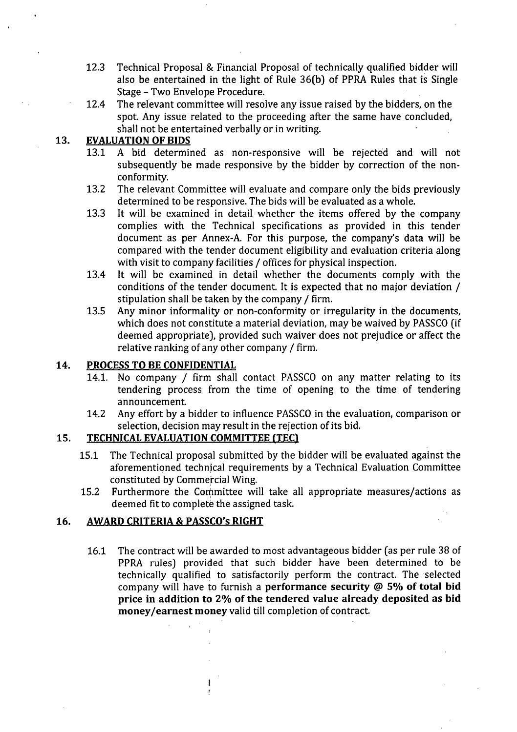- 12.3 Technical Proposal & Financial Proposal of technically qualified bidder will also be entertained in the light of Rule 36(b) of PPRA Rules that is Single Stage - Two Envelope Procedure.
- 12.4 The relevant committee will resolve any issue raised by the bidders, on the spot. Any issue related to the proceeding after the same have concluded, shall not be entertained verbally or in writing.

# 13. EVALUATION OF BIDS

- 13.1 A bid determined as non-responsive will be rejected and will not subsequently be made responsive by the bidder by correction of the nonconformity.
- 13.2 The relevant Committee will evaluate and compare only the bids previously determined to be responsive. The bids will be evaluated as a whole.
- 13.3 It will be examined in detail whether the items offered by the company complies with the Technical specifications as provided in this tender document as per Annex-A. For this purpose, the company's data will be compared with the tender document eligibility and evaluation criteria along with visit to company facilities / offices for physical inspection.
- 13.4 It will be examined in detail whether the documents comply with the conditions of the tender document. It is expected that no major deviation / stipulation shall be taken by the company / firm.
- 13.5 Any minor informality or non-conformity or irregularity in the documents, which does not constitute a material deviation, may be waived by PASSCO (if deemed appropriate), provided such waiver does not prejudice or affect the relative ranking of any other company / firm.

### 14. PROCESSTO BECONFIDENTIAL

- 14.1. No company / firm shall contact PASSCO on any matter relating to its tendering process from the time of opening to the time of tendering announcement.
- 14.2 Any effort by a bidder to influence PASSCO in the evaluation, comparison or selection, decision may result in the rejection of its bid.

# 15. TECHNICAL EVALUATION COMMITTEE (TEC)

ŧ p

- 15.1 The Technical proposal submitted by the bidder will be evaluated against the aforementioned technical requirements by a Technical Evaluation Committee constituted by Commercial Wing.
- 15.2 Furthermore the Committee will take all appropriate measures/actions as deemed fit to complete the assigned task.

# 16. AWARD CRITERIA & PASSCO's RIGHT

16.1 The contract will be awarded to most advantageous bidder (as per rule 38 of PPRA rules) provided that such bidder have been determined to be technically qualified to satisfactorily perform the contract. The selected company will have to furnish a performance security @ 5% of total bid price in addition to 2% of the tendered value already deposited as bid money/earnest money valid till completion of contract.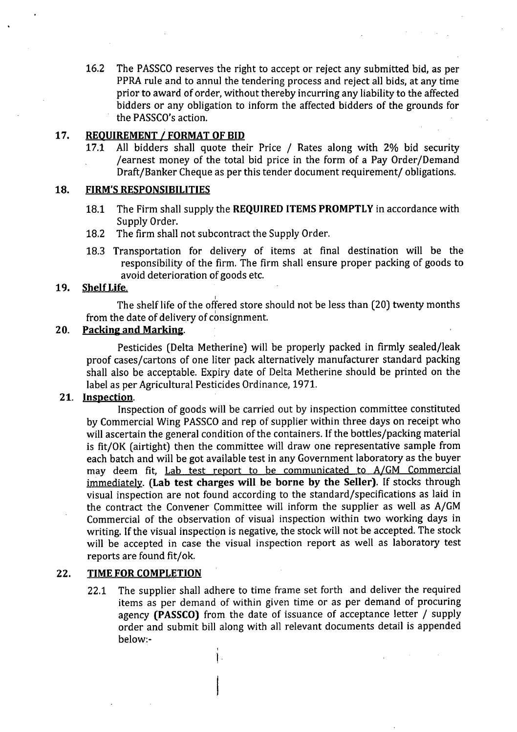16.2 The PASSCO reserves the right to accept or reject any submitted bid, as per PPRA rule and to annul the tendering process and reject all bids, at any time prior to award of order, without thereby incurring any liability to the affected bidders or any obligation to inform the affected bidders of the grounds for the PASSCO's action.

# 17. REQUIREMENT / FORMAT OF BID<br>17.1 All bidders shall quote the

All bidders shall quote their Price / Rates along with 2% bid security /earnest money of the total bid price in the form of a Pay Order/Demand Draft/Banker Cheque as per this tender document requirement/ obligations.

#### 18. FIRM'SRESPONSIBILITIES

- 18.1 The Firm shall supply the REQUIRED ITEMS PROMPTLY in accordance with Supply Order.
- 18.2 The firm shall not subcontract the Supply Order.
- 18.3 Transportation for delivery of items at final destination will be the responsibility of the firm. The firm shall ensure proper packing of goods to avoid deterioration of goods etc.

#### 19. Shelf Life.

I The shelf life of the offered store should not be less than (20) twenty months from the date of delivery of consignment.

#### 20. Packing and Marking.

Pesticides (Delta Metherine) will be properly packed in firmly sealed/leak proof cases/cartons of one liter pack alternatively manufacturer standard packing shall also be acceptable. Expiry date of Delta Metherine should be printed on the label as per Agricultural Pesticides Ordinance, 1971.

# 21. Inspection.

Inspection of goods will be carried out by inspection committee constituted by Commercial Wing PASSCO and rep of supplier within three days on receipt who will ascertain the general condition of the containers. If the bottles/packing material is fit/OK (airtight) then the committee will draw one representative sample from each batch and will be got available test in any Government laboratory as the buyer may deem fit, Lab test report to be communicated to *A/GM* Commercial immediately. (Lab test charges will be borne by the Seller). If stocks through visual inspection are not found according to the standard/specifications as laid in the contract the Convener Committee will inform the supplier as well as A/GM Commercial of the observation of visual inspection within two working days in writing. If the visual inspection is negative, the stock will not be accepted. The stock will be accepted in case the visual inspection report as well as laboratory test reports are found fit/ok.

#### 22. TIME FOR COMPLETION

22.1 The supplier shall adhere to time frame set forth and deliver the required items as per demand of within *given* time or as per demand of procuring agency (PASSCO) from the date of issuance of acceptance letter / supply order and submit bill along with all relevant documents detail is appended below:-

> ,  $\mathbf{L}$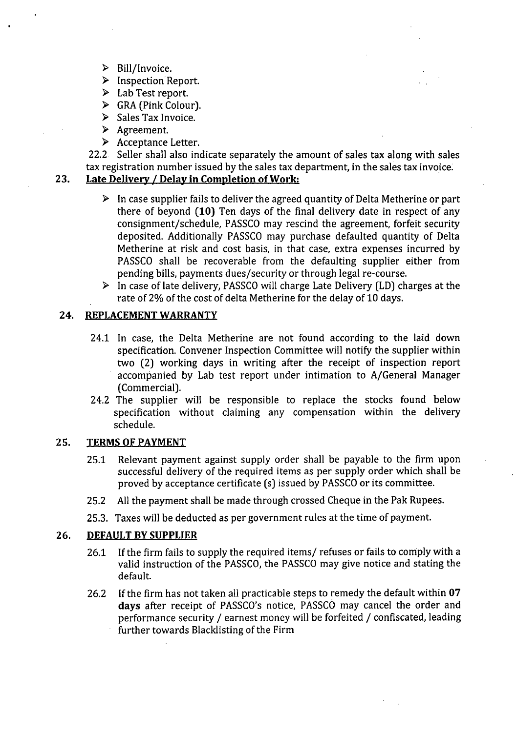- ~ Bill/Invoice.
- ~ Inspection Report.
- > Lab Test report.
- $\triangleright$  GRA (Pink Colour).
- $\triangleright$  Sales Tax Invoice.
- > Agreement.
- > Acceptance Letter.

22.2 Seller shall also indicate separately the amount of sales tax along with sales tax registration number issued by the sales tax department, in the sales tax invoice.

# 23. Late Delivery / Delay in Completion of Work:

- $\triangleright$  In case supplier fails to deliver the agreed quantity of Delta Metherine or part there of beyond (10) Ten days of the final delivery date in respect of any consignment/schedule, PASSCD may rescind the agreement, forfeit security deposited. Additionally PASS*CD* may purchase defaulted quantity of Delta Metherine at risk and cost basis, in that case, extra expenses incurred by PASSCD shall be recoverable from the defaulting supplier either from pending bills, payments dues/security or through legal re-course.
- $\triangleright$  In case of late delivery, PASSCO will charge Late Delivery (LD) charges at the rate of 2% of the cost of delta Metherine for the delay of 10 days.

#### 24. REPLACEMENT WARRANTY

- 24.1 In case, the Delta Metherine are not found according to the laid down specification. Convener Inspection Committee will notify the supplier within two (2) working days in writing after the receipt of inspection report accompanied by Lab test report under intimation to A/General Manager (Commercial).
- 24.2 The supplier will be responsible to replace the stocks found below specification without claiming any compensation within the delivery schedule.

#### 25. TERMSOFPAYMENT

- 25.1 Relevant payment against supply order shall be payable to the firm upon successful delivery of the required items as per supply order which shall be proved by acceptance certificate (s) issued by PASSCO or its committee.
- 25.2 All the payment shall be made through crossed Cheque in the Pak Rupees.
- 25.3. Taxes will be deducted as per government rules at the time of payment.

#### 26. DEFAULT BY SUPPLIER

- 26.1 If the firm fails to supply the required items/ refuses or fails to comply with a valid instruction of the PASSCO, the PASSCO may give notice and stating the default.
- 26.2 If the firm has not taken all practicable steps to remedy the default within 07 days after receipt of PASSCO's notice, PASSCO may cancel the order and performance security / earnest money will be forfeited / confiscated, leading further towards Blacklisting of the Firm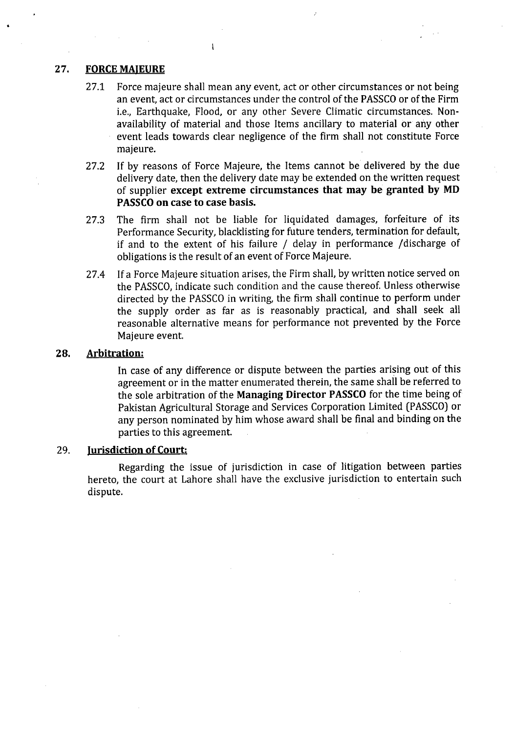#### 27. FORCE MAJEURE

27.1 Force majeure shall mean any event, act or other circumstances or not being an event, act or circumstances under the control of the PASSCO or of the Firm i.e., Earthquake, Flood, or any other Severe Climatic circumstances. Nonavailability of material and those Items ancillary to material or any other event leads towards clear negligence of the firm shall not constitute Force majeure.

 $\overline{1}$ 

- 27.2 If by reasons of Force Majeure, the Items cannot be delivered by the due delivery date, then the delivery date may be extended on the written request of supplier except extreme circumstances that may be granted by MD PASSCO on case to case basis.
- 27.3 The firm shall not be liable for liquidated damages, forfeiture of its Performance Security, blacklisting for future tenders, termination for default, if and to the extent of his failure *j* delay in performance jdischarge of obligations is the result of an event of Force Majeure.
- 27.4 If a Force Majeure situation arises, the Firm shall, by written notice served on the PASSCO, indicate such condition and the cause thereof. Unless otherwise directed by the PASSCO in writing, the firm shall continue to perform under the supply order as far as is reasonably practical, and shall seek all reasonable alternative means for performance not prevented by the Force Majeure event.

#### 28. Arbitration:

In case of any difference or dispute between the parties arising out of this agreement or in the matter enumerated therein, the same shall be referred to the sole arbitration of the Managing Director PASSCO for the time being of Pakistan Agricultural Storage and Services Corporation Limited (PASSCO) or any person nominated by him whose award shall be final and binding on the parties to this agreement.

#### 29. Jurisdiction of Court:

Regarding the issue of jurisdiction in case of litigation between parties hereto, the court at Lahore shall have the exclusive jurisdiction to entertain such dispute.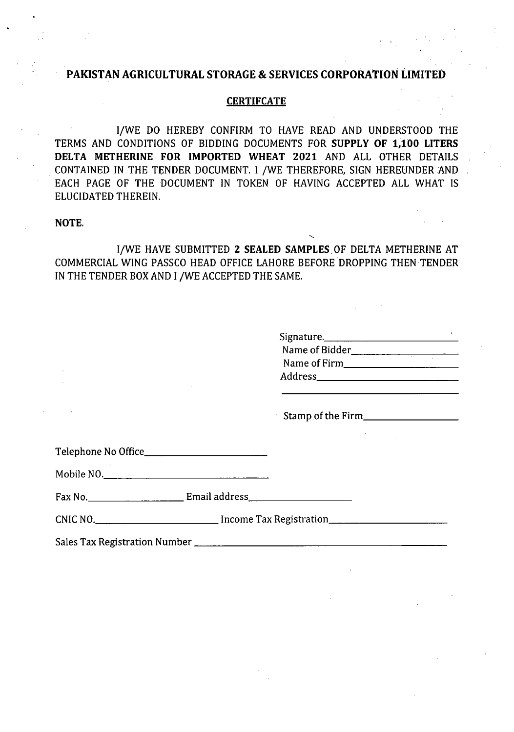# **PAKISTAN AGRICULTURAL STORAGE & SERVICES CORPORATION LIMITED**

#### **CERTlFCATE**

I/WE DO HEREBY CONFIRM TO HAVE READ AND UNDERSTOOD THE TERMS AND CONDITIONS OF BIDDING DOCUMENTS FOR **SUPPLY OF 1,100 LITERS DELTA METHERINE FOR IMPORTED WHEAT 2021** AND ALL OTHER DETAILS CONTAINED IN THE TENDER DOCUMENT. I /WE THEREFORE, SIGN HEREUNDER AND EACH PAGE OF THE DOCUMENT IN TOKEN OF HAVING ACCEPTED ALL WHAT IS ELUCIDATED THEREIN.

#### NOTE.

If WE HAVE SUBMITTED 2 **SEALED** SAMPLES OF DELTA METHERINE AT COMMERCIAL WING PASSCO HEAD OFFICE LAHORE BEFORE DROPPING THEN TENDER IN THE TENDER BOX AND I /WE ACCEPTED THE SAME,

| Signature.     |  |
|----------------|--|
| Name of Bidder |  |
| Name of Firm   |  |
| <b>Address</b> |  |
|                |  |

Stamp of the Firm \_

Telephone No Office

Mobile NO, \_

Fax No. Email address \_

CNIC NO, All CONIC NO, All CONIC NO, All CONIC NO, All CONIC NO, All CONIC NO, All CONIC NO, All CONIC NO, All CONIC NO, All CONIC NO, All CONIC NO, All CONIC NO, All CONIC NO, All CONIC NO, All CONIC NO, All CONIC NO, All

Sales Tax Registration Number \_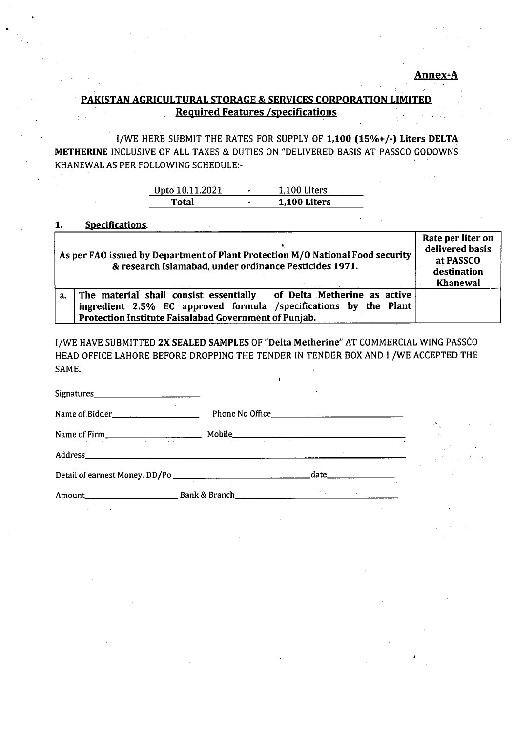# . PAKISTAN AGRICULTURAL STORAGE & SERVICES CORPORATION LIMITED Required Features / specifications

IjWE HERE SUBMIT THE RATES FOR SUPPLY OF 1,100 *(15%+j-)* Liters DELTA METHERINE INCLUSIVE OF ALL TAXES & DUTIES ON "DELIVERED BASIS AT PASSCO GODOWNS KHANEWAL AS PER FOLLOWING SCHEDULE:-

| Upto 10.11.2021 | $\bullet$ | 1.100 Liters |
|-----------------|-----------|--------------|
| l'otal          | $\bullet$ | 1.100 Liters |

1. Specifications.

|    | As per FAO issued by Department of Plant Protection M/O National Food security<br>& research Islamabad, under ordinance Pesticides 1971.                                                         | Rate per liter on<br>delivered basis<br>at PASSCO<br>destination<br><b>Khanewal</b> |
|----|--------------------------------------------------------------------------------------------------------------------------------------------------------------------------------------------------|-------------------------------------------------------------------------------------|
| a. | The material shall consist essentially of Delta Metherine as active<br>ingredient 2.5% EC approved formula /specifications by the Plant<br>Protection Institute Faisalabad Government of Punjab. |                                                                                     |

I/WE HAVE SUBMITTED 2X SEALED SAMPLES OF "Delta Metherine" AT COMMERCIAL WING PASSCO HEAD OFFICE LAHORE BEFORE DROPPING THE TENDER IN TENDER BOX AND I /WE ACCEPTED THE SAME.

| Signatures________________________________ |               |                         |                                                                                                                                               |
|--------------------------------------------|---------------|-------------------------|-----------------------------------------------------------------------------------------------------------------------------------------------|
| Name of Bidder_______________________      |               |                         |                                                                                                                                               |
|                                            |               |                         | in a                                                                                                                                          |
|                                            |               |                         | $\mathcal{F}^{\mathcal{G}}_{\mathcal{G}}$ , where $\mathcal{F}^{\mathcal{G}}_{\mathcal{G}}$ , where $\mathcal{F}^{\mathcal{G}}_{\mathcal{G}}$ |
|                                            |               | _date__________________ |                                                                                                                                               |
| Amount                                     | Bank & Branch |                         |                                                                                                                                               |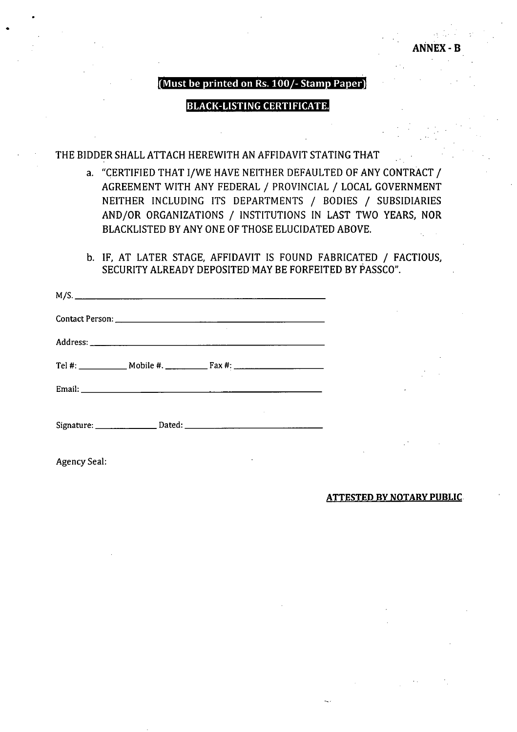# **ANNEX**

#### (Must be printed on Rs.  $100/-$  Stamp Paper)

#### BLACK-LISTING CERTIFICATE.

### THE BIDDER SHALL ATTACH HEREWITH AN AFFIDAVIT STATING THAT

- a. "CERTIFIED THAT I/WE HAVE NEITHER DEFAULTED OF ANY CONTRACT / AGREEMENT WITH ANY FEDERAL / PROVINCIAL / LOCAL GOVERNMENT NEITHER INCLUDING ITS DEPARTMENTS / BODIES / SUBSIDIARIES AND/OR ORGANIZATIONS / INSTITUTIONS IN LAST TWO YEARS, NOR BLACKLISTED BY ANY ONE OF THOSE ELUCIDATED ABOVE.
- b. IF, AT LATER STAGE, AFFIDAVIT IS FOUND FABRICATED / FACTIOUS, SECURITY ALREADY DEPOSITED MAY BE FORFEITED BY PASSCO".

Agency Seal:

•

#### ATTESTED BY NOTARY PUBLIC